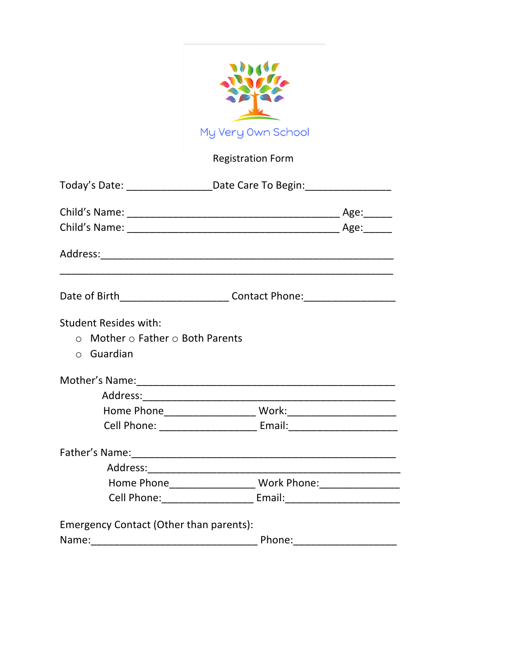|                                                                                                        | My Very Own School                                                               |  |  |  |
|--------------------------------------------------------------------------------------------------------|----------------------------------------------------------------------------------|--|--|--|
|                                                                                                        |                                                                                  |  |  |  |
|                                                                                                        | <b>Registration Form</b>                                                         |  |  |  |
|                                                                                                        | Today's Date: ________________________Date Care To Begin: ______________________ |  |  |  |
|                                                                                                        |                                                                                  |  |  |  |
|                                                                                                        |                                                                                  |  |  |  |
|                                                                                                        |                                                                                  |  |  |  |
|                                                                                                        | Date of Birth________________________________Contact Phone:_____________________ |  |  |  |
| <b>Student Resides with:</b><br>$\circ$ Mother $\circ$ Father $\circ$ Both Parents<br>$\circ$ Guardian |                                                                                  |  |  |  |
|                                                                                                        |                                                                                  |  |  |  |
|                                                                                                        |                                                                                  |  |  |  |
| Home Phone                                                                                             | Work:                                                                            |  |  |  |
|                                                                                                        | Cell Phone: ____________________________ Email:_________________________________ |  |  |  |
|                                                                                                        |                                                                                  |  |  |  |
|                                                                                                        |                                                                                  |  |  |  |
|                                                                                                        | Home Phone_______________________ Work Phone:___________________________________ |  |  |  |
|                                                                                                        | Cell Phone: ___________________________ Email: _________________________________ |  |  |  |
| Emergency Contact (Other than parents):                                                                |                                                                                  |  |  |  |
|                                                                                                        |                                                                                  |  |  |  |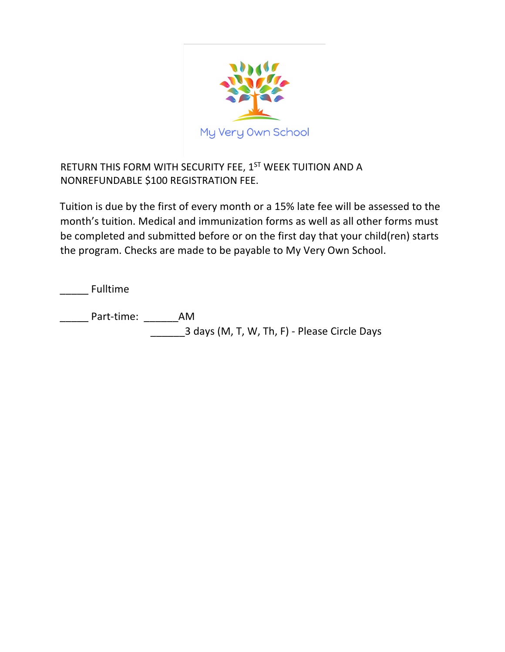

RETURN THIS FORM WITH SECURITY FEE, 1ST WEEK TUITION AND A NONREFUNDABLE \$100 REGISTRATION FEE.

Tuition is due by the first of every month or a 15% late fee will be assessed to the month's tuition. Medical and immunization forms as well as all other forms must be completed and submitted before or on the first day that your child(ren) starts the program. Checks are made to be payable to My Very Own School.

\_\_\_\_\_ Fulltime

\_\_\_\_\_ Part-time: \_\_\_\_\_\_AM

\_\_\_\_\_\_3 days (M, T, W, Th, F) - Please Circle Days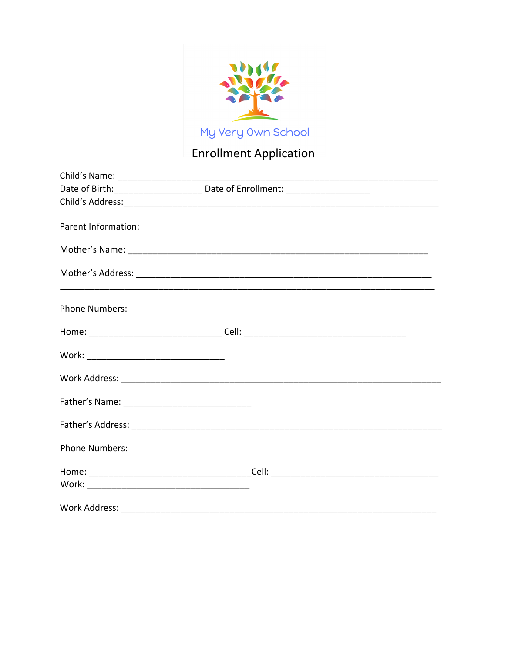

## **Enrollment Application**

|                       | Date of Birth: __________________________ Date of Enrollment: __________________ |  |
|-----------------------|----------------------------------------------------------------------------------|--|
|                       |                                                                                  |  |
| Parent Information:   |                                                                                  |  |
|                       |                                                                                  |  |
|                       |                                                                                  |  |
| <b>Phone Numbers:</b> |                                                                                  |  |
|                       |                                                                                  |  |
|                       |                                                                                  |  |
|                       |                                                                                  |  |
|                       |                                                                                  |  |
|                       |                                                                                  |  |
| <b>Phone Numbers:</b> |                                                                                  |  |
|                       |                                                                                  |  |
|                       |                                                                                  |  |
| Work Address:         |                                                                                  |  |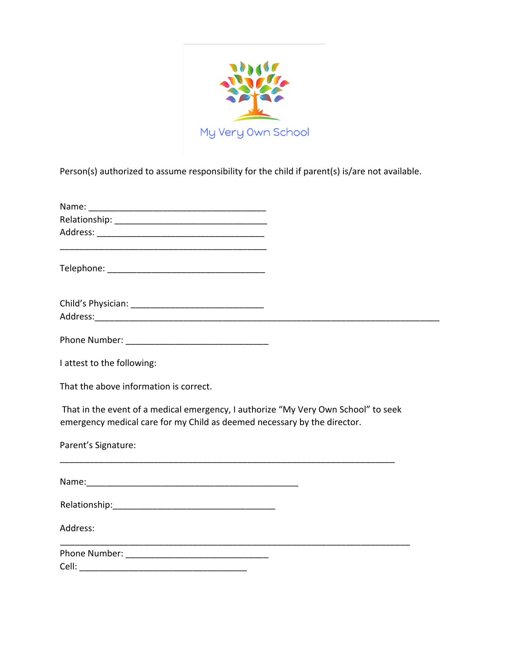

Person(s) authorized to assume responsibility for the child if parent(s) is/are not available.

| I attest to the following:                                                                                                                                     |  |
|----------------------------------------------------------------------------------------------------------------------------------------------------------------|--|
| That the above information is correct.                                                                                                                         |  |
| That in the event of a medical emergency, I authorize "My Very Own School" to seek<br>emergency medical care for my Child as deemed necessary by the director. |  |
| Parent's Signature:                                                                                                                                            |  |
|                                                                                                                                                                |  |
|                                                                                                                                                                |  |
| Address:                                                                                                                                                       |  |
|                                                                                                                                                                |  |
|                                                                                                                                                                |  |